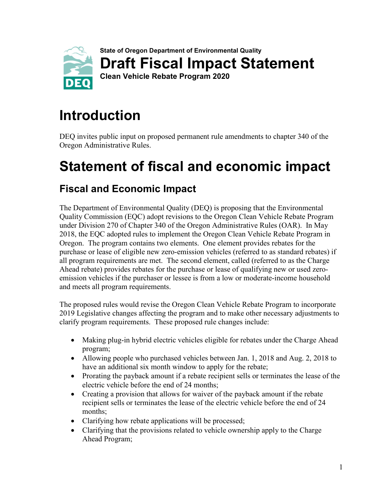

# **Introduction**

DEQ invites public input on proposed permanent rule amendments to chapter 340 of the Oregon Administrative Rules.

# **Statement of fiscal and economic impact**

# **Fiscal and Economic Impact**

The Department of Environmental Quality (DEQ) is proposing that the Environmental Quality Commission (EQC) adopt revisions to the Oregon Clean Vehicle Rebate Program under Division 270 of Chapter 340 of the Oregon Administrative Rules (OAR). In May 2018, the EQC adopted rules to implement the Oregon Clean Vehicle Rebate Program in Oregon. The program contains two elements. One element provides rebates for the purchase or lease of eligible new zero-emission vehicles (referred to as standard rebates) if all program requirements are met. The second element, called (referred to as the Charge Ahead rebate) provides rebates for the purchase or lease of qualifying new or used zeroemission vehicles if the purchaser or lessee is from a low or moderate-income household and meets all program requirements.

The proposed rules would revise the Oregon Clean Vehicle Rebate Program to incorporate 2019 Legislative changes affecting the program and to make other necessary adjustments to clarify program requirements. These proposed rule changes include:

- Making plug-in hybrid electric vehicles eligible for rebates under the Charge Ahead program;
- Allowing people who purchased vehicles between Jan. 1, 2018 and Aug. 2, 2018 to have an additional six month window to apply for the rebate;
- Prorating the payback amount if a rebate recipient sells or terminates the lease of the electric vehicle before the end of 24 months;
- Creating a provision that allows for waiver of the payback amount if the rebate recipient sells or terminates the lease of the electric vehicle before the end of 24 months;
- Clarifying how rebate applications will be processed;
- Clarifying that the provisions related to vehicle ownership apply to the Charge Ahead Program;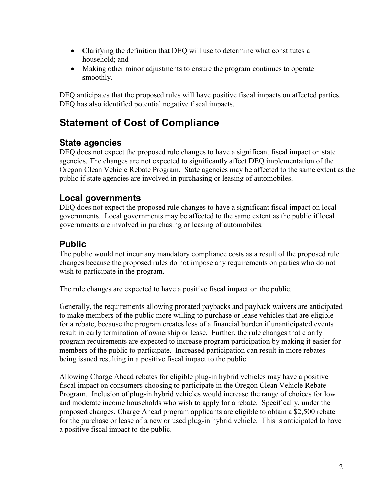- Clarifying the definition that DEQ will use to determine what constitutes a household; and
- Making other minor adjustments to ensure the program continues to operate smoothly.

DEQ anticipates that the proposed rules will have positive fiscal impacts on affected parties. DEQ has also identified potential negative fiscal impacts.

## **Statement of Cost of Compliance**

## **State agencies**

DEQ does not expect the proposed rule changes to have a significant fiscal impact on state agencies. The changes are not expected to significantly affect DEQ implementation of the Oregon Clean Vehicle Rebate Program. State agencies may be affected to the same extent as the public if state agencies are involved in purchasing or leasing of automobiles.

### **Local governments**

DEQ does not expect the proposed rule changes to have a significant fiscal impact on local governments. Local governments may be affected to the same extent as the public if local governments are involved in purchasing or leasing of automobiles.

### **Public**

The public would not incur any mandatory compliance costs as a result of the proposed rule changes because the proposed rules do not impose any requirements on parties who do not wish to participate in the program.

The rule changes are expected to have a positive fiscal impact on the public.

Generally, the requirements allowing prorated paybacks and payback waivers are anticipated to make members of the public more willing to purchase or lease vehicles that are eligible for a rebate, because the program creates less of a financial burden if unanticipated events result in early termination of ownership or lease. Further, the rule changes that clarify program requirements are expected to increase program participation by making it easier for members of the public to participate. Increased participation can result in more rebates being issued resulting in a positive fiscal impact to the public.

Allowing Charge Ahead rebates for eligible plug-in hybrid vehicles may have a positive fiscal impact on consumers choosing to participate in the Oregon Clean Vehicle Rebate Program. Inclusion of plug-in hybrid vehicles would increase the range of choices for low and moderate income households who wish to apply for a rebate. Specifically, under the proposed changes, Charge Ahead program applicants are eligible to obtain a \$2,500 rebate for the purchase or lease of a new or used plug-in hybrid vehicle. This is anticipated to have a positive fiscal impact to the public.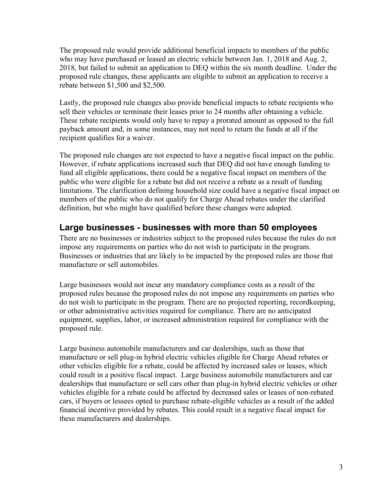The proposed rule would provide additional beneficial impacts to members of the public who may have purchased or leased an electric vehicle between Jan. 1, 2018 and Aug. 2, 2018, but failed to submit an application to DEQ within the six month deadline. Under the proposed rule changes, these applicants are eligible to submit an application to receive a rebate between \$1,500 and \$2,500.

Lastly, the proposed rule changes also provide beneficial impacts to rebate recipients who sell their vehicles or terminate their leases prior to 24 months after obtaining a vehicle. These rebate recipients would only have to repay a prorated amount as opposed to the full payback amount and, in some instances, may not need to return the funds at all if the recipient qualifies for a waiver.

The proposed rule changes are not expected to have a negative fiscal impact on the public. However, if rebate applications increased such that DEQ did not have enough funding to fund all eligible applications, there could be a negative fiscal impact on members of the public who were eligible for a rebate but did not receive a rebate as a result of funding limitations. The clarification defining household size could have a negative fiscal impact on members of the public who do not qualify for Charge Ahead rebates under the clarified definition, but who might have qualified before these changes were adopted.

### **Large businesses - businesses with more than 50 employees**

There are no businesses or industries subject to the proposed rules because the rules do not impose any requirements on parties who do not wish to participate in the program. Businesses or industries that are likely to be impacted by the proposed rules are those that manufacture or sell automobiles.

Large businesses would not incur any mandatory compliance costs as a result of the proposed rules because the proposed rules do not impose any requirements on parties who do not wish to participate in the program. There are no projected reporting, recordkeeping, or other administrative activities required for compliance. There are no anticipated equipment, supplies, labor, or increased administration required for compliance with the proposed rule.

Large business automobile manufacturers and car dealerships, such as those that manufacture or sell plug-in hybrid electric vehicles eligible for Charge Ahead rebates or other vehicles eligible for a rebate, could be affected by increased sales or leases, which could result in a positive fiscal impact. Large business automobile manufacturers and car dealerships that manufacture or sell cars other than plug-in hybrid electric vehicles or other vehicles eligible for a rebate could be affected by decreased sales or leases of non-rebated cars, if buyers or lessees opted to purchase rebate-eligible vehicles as a result of the added financial incentive provided by rebates. This could result in a negative fiscal impact for these manufacturers and dealerships.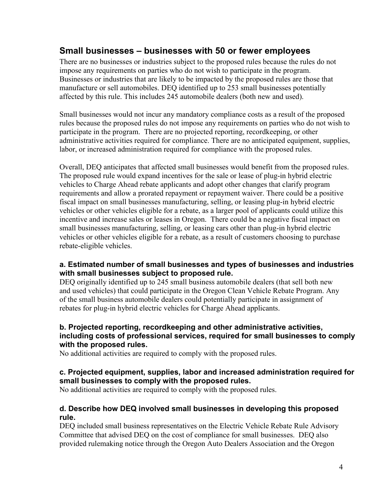#### **Small businesses – businesses with 50 or fewer employees**

There are no businesses or industries subject to the proposed rules because the rules do not impose any requirements on parties who do not wish to participate in the program. Businesses or industries that are likely to be impacted by the proposed rules are those that manufacture or sell automobiles. DEQ identified up to 253 small businesses potentially affected by this rule. This includes 245 automobile dealers (both new and used).

Small businesses would not incur any mandatory compliance costs as a result of the proposed rules because the proposed rules do not impose any requirements on parties who do not wish to participate in the program. There are no projected reporting, recordkeeping, or other administrative activities required for compliance. There are no anticipated equipment, supplies, labor, or increased administration required for compliance with the proposed rules.

Overall, DEQ anticipates that affected small businesses would benefit from the proposed rules. The proposed rule would expand incentives for the sale or lease of plug-in hybrid electric vehicles to Charge Ahead rebate applicants and adopt other changes that clarify program requirements and allow a prorated repayment or repayment waiver. There could be a positive fiscal impact on small businesses manufacturing, selling, or leasing plug-in hybrid electric vehicles or other vehicles eligible for a rebate, as a larger pool of applicants could utilize this incentive and increase sales or leases in Oregon. There could be a negative fiscal impact on small businesses manufacturing, selling, or leasing cars other than plug-in hybrid electric vehicles or other vehicles eligible for a rebate, as a result of customers choosing to purchase rebate-eligible vehicles.

#### **a. Estimated number of small businesses and types of businesses and industries with small businesses subject to proposed rule.**

DEQ originally identified up to 245 small business automobile dealers (that sell both new and used vehicles) that could participate in the Oregon Clean Vehicle Rebate Program. Any of the small business automobile dealers could potentially participate in assignment of rebates for plug-in hybrid electric vehicles for Charge Ahead applicants.

#### **b. Projected reporting, recordkeeping and other administrative activities, including costs of professional services, required for small businesses to comply with the proposed rules.**

No additional activities are required to comply with the proposed rules.

#### **c. Projected equipment, supplies, labor and increased administration required for small businesses to comply with the proposed rules.**

No additional activities are required to comply with the proposed rules.

#### **d. Describe how DEQ involved small businesses in developing this proposed rule.**

DEQ included small business representatives on the Electric Vehicle Rebate Rule Advisory Committee that advised DEQ on the cost of compliance for small businesses. DEQ also provided rulemaking notice through the Oregon Auto Dealers Association and the Oregon